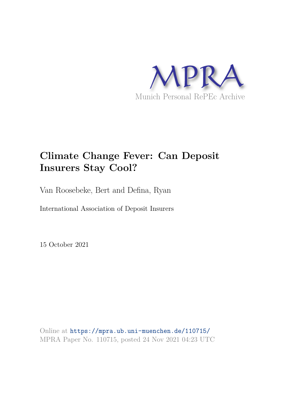

# **Climate Change Fever: Can Deposit Insurers Stay Cool?**

Van Roosebeke, Bert and Defina, Ryan

International Association of Deposit Insurers

15 October 2021

Online at https://mpra.ub.uni-muenchen.de/110715/ MPRA Paper No. 110715, posted 24 Nov 2021 04:23 UTC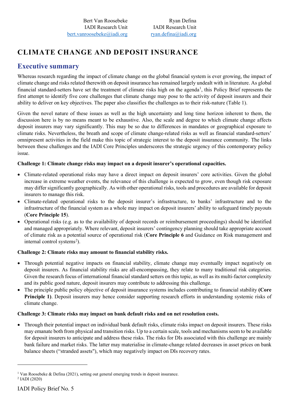# **CLIMATE CHANGE AND DEPOSIT INSURANCE**

### **Executive summary**

Whereas research regarding the impact of climate change on the global financial system is ever growing, the impact of climate change and risks related therewith on deposit insurance has remained largely undealt with in literature. As global financial standard-setters have set the treatment of climate risks high on the agenda<sup>[1](#page-1-0)</sup>, this Policy Brief represents the first attempt to identify five core challenges that climate change may pose to the activity of deposit insurers and their ability to deliver on key objectives. The paper also classifies the challenges as to their risk-nature (Table 1).

Given the novel nature of these issues as well as the high uncertainty and long time horizon inherent to them, the discussion here is by no means meant to be exhaustive. Also, the scale and degree to which climate change affects deposit insurers may vary significantly. This may be so due to differences in mandates or geographical exposure to climate risks. Nevertheless, the breath and scope of climate change-related risks as well as financial standard-setters' omnipresent activities in the field make this topic of strategic interest to the deposit insurance community. The links between these challenges and the IADI Core Principles underscores the strategic urgency of this contemporary policy issue.

### **Challenge 1: Climate change risks may impact on a deposit insurer's operational capacities.**

- Climate-related operational risks may have a direct impact on deposit insurers' core activities. Given the global increase in extreme weather events, the relevance of this challenge is expected to grow, even though risk exposure may differ significantly geographically. As with other operational risks, tools and procedures are available for deposit insurers to manage this risk.
- Climate-related operational risks to the deposit insurer's infrastructure, to banks' infrastructure and to the infrastructure of the financial system as a whole may impact on deposit insurers' ability to safeguard timely payouts (**Core Principle 15**).
- Operational risks (e.g. as to the availability of deposit records or reimbursement proceedings) should be identified and managed appropriately. Where relevant, deposit insurers' contingency planning should take appropriate account of climate risk as a potential source of operational risk (**Core Principle 6** and Guidance on Risk management and internal control systems<sup>[2](#page-1-1)</sup>).

### **Challenge 2: Climate risks may amount to financial stability risks.**

- Through potential negative impacts on financial stability, climate change may eventually impact negatively on deposit insurers. As financial stability risks are all-encompassing, they relate to many traditional risk categories. Given the research focus of international financial standard setters on this topic, as well as its multi-factor complexity and its public good nature, deposit insurers may contribute to addressing this challenge.
- The principle public policy objective of deposit insurance systems includes contributing to financial stability **(Core Principle 1)**. Deposit insurers may hence consider supporting research efforts in understanding systemic risks of climate change.

### **Challenge 3: Climate risks may impact on bank default risks and on net resolution costs.**

• Through their potential impact on individual bank default risks, climate risks impact on deposit insurers. These risks may emanate both from physical and transition risks. Up to a certain scale, tools and mechanisms seem to be available for deposit insurers to anticipate and address these risks. The risks for DIs associated with this challenge are mainly bank failure and market risks. The latter may materialise in climate-change related decreases in asset prices on bank balance sheets ("stranded assets"), which may negatively impact on DIs recovery rates.

<span id="page-1-1"></span><span id="page-1-0"></span><sup>&</sup>lt;sup>1</sup> Van Roosebeke & Defina (2021), setting out general emerging trends in deposit insurance. 2 IADI (2020)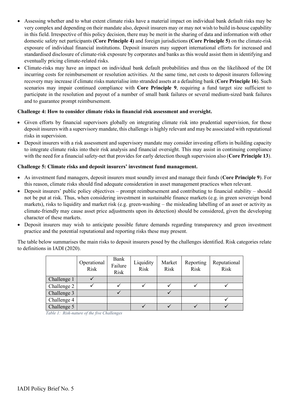- Assessing whether and to what extent climate risks have a material impact on individual bank default risks may be very complex and depending on their mandate also, deposit insurers may or may not wish to build in-house capability in this field. Irrespective of this policy decision, there may be merit in the sharing of data and information with other domestic safety net participants **(Core Principle 4)** and foreign jurisdictions **(Core Principle 5)** on the climate-risk exposure of individual financial institutions. Deposit insurers may support international efforts for increased and standardised disclosure of climate-risk exposure by corporates and banks as this would assist them in identifying and eventually pricing climate-related risks.
- Climate-risks may have an impact on individual bank default probabilities and thus on the likelihood of the DI incurring costs for reimbursement or resolution activities. At the same time, net costs to deposit insurers following recovery may increase if climate risks materialise into stranded assets at a defaulting bank (**Core Principle 16**). Such scenarios may impair continued compliance with **Core Principle 9**, requiring a fund target size sufficient to participate in the resolution and payout of a number of small bank failures or several medium-sized bank failures and to guarantee prompt reimbursement.

### **Challenge 4: How to consider climate risks in financial risk assessment and oversight.**

- Given efforts by financial supervisors globally on integrating climate risk into prudential supervision, for those deposit insurers with a supervisory mandate, this challenge is highly relevant and may be associated with reputational risks in supervision.
- Deposit insurers with a risk assessment and supervisory mandate may consider investing efforts in building capacity to integrate climate risks into their risk analysis and financial oversight. This may assist in continuing compliance with the need for a financial safety-net that provides for early detection though supervision also (**Core Principle 13**).

#### **Challenge 5: Climate risks and deposit insurers' investment fund management.**

- As investment fund managers, deposit insurers must soundly invest and manage their funds (**Core Principle 9**). For this reason, climate risks should find adequate consideration in asset management practices when relevant.
- Deposit insurers' public policy objectives prompt reimbursement and contributing to financial stability should not be put at risk. Thus, when considering investment in sustainable finance markets (e.g. in green sovereign bond markets), risks to liquidity and market risk (e.g. green-washing – the misleading labelling of an asset or activity as climate-friendly may cause asset price adjustments upon its detection) should be considered, given the developing character of these markets.
- Deposit insurers may wish to anticipate possible future demands regarding transparency and green investment practice and the potential reputational and reporting risks these may present.

The table below summarises the main risks to deposit insurers posed by the challenges identified. Risk categories relate to definitions in IADI (2020).

|             | Operational<br>Risk | Bank<br>Failure<br>Risk | Liquidity<br>Risk | Market<br>Risk | Reporting<br>Risk | Reputational<br>Risk |
|-------------|---------------------|-------------------------|-------------------|----------------|-------------------|----------------------|
| Challenge 1 |                     |                         |                   |                |                   |                      |
| Challenge 2 |                     |                         |                   |                |                   |                      |
| Challenge 3 |                     |                         |                   |                |                   |                      |
| Challenge 4 |                     |                         |                   |                |                   |                      |
| Challenge 5 |                     |                         |                   |                |                   |                      |

 *Table 1: Risk-nature of the five Challenges*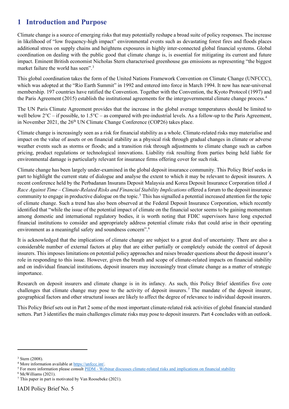## **1 Introduction and Purpose**

Climate change is a source of emerging risks that may potentially reshape a broad suite of policy responses. The increase in likelihood of "low frequency-high impact" environmental events such as devastating forest fires and floods places additional stress on supply chains and heightens exposures in highly inter-connected global financial systems. Global coordination on dealing with the public good that climate change is, is essential for mitigating its current and future impact. Eminent British economist Nicholas Stern characterised greenhouse gas emissions as representing "the biggest market failure the world has seen".<sup>[3](#page-3-0)</sup>

This global coordination takes the form of the United Nations Framework Convention on Climate Change (UNFCCC), which was adopted at the "Rio Earth Summit" in 1992 and entered into force in March 1994. It now has near-universal membership. 197 countries have ratified the Convention. Together with the Convention, the Kyoto Protocol (1997) and the Paris Agreement (2015) establish the institutional agreements for the intergovernmental climate change process.[4](#page-3-1)

The UN Paris Climate Agreement provides that the increase in the global average temperatures should be limited to well below  $2^{\circ}C -$  if possible, to  $1.5^{\circ}C -$  as compared with pre-industrial levels. As a follow-up to the Paris Agreement, in November 2021, the 26<sup>th</sup> UN Climate Change Conference (COP26) takes place.

Climate change is increasingly seen as a risk for financial stability as a whole. Climate-related risks may materialise and impact on the value of assets or on financial stability as a physical risk through gradual changes in climate or adverse weather events such as storms or floods; and a transition risk through adjustments to climate change such as carbon pricing, product regulations or technological innovations. Liability risk resulting from parties being held liable for environmental damage is particularly relevant for insurance firms offering cover for such risk.

Climate change has been largely under-examined in the global deposit insurance community. This Policy Brief seeks in part to highlight the current state of dialogue and analyse the extent to which it may be relevant to deposit insurers. A recent conference held by the Perbadanan Insurans Deposit Malaysia and Korea Deposit Insurance Corporation titled *A Race Against Time – Climate-Related Risks and Financial Stability Implications* offered a forum to the deposit insurance community to engage in productive dialogue on the topic.[5](#page-3-2) This has signalled a potential increased attention for the topic of climate change. Such a trend has also been observed at the Federal Deposit Insurance Corporation, which recently identified that "while the issue of the potential impact of climate on the financial sector seems to be gaining momentum among domestic and international regulatory bodies, it is worth noting that FDIC supervisors have long expected financial institutions to consider and appropriately address potential climate risks that could arise in their operating environment as a meaningful safety and soundness concern".<sup>[6](#page-3-3)</sup>

It is acknowledged that the implications of climate change are subject to a great deal of uncertainty. There are also a considerable number of external factors at play that are either partially or completely outside the control of deposit insurers. This imposes limitations on potential policy approaches and raises broader questions about the deposit insurer's role in responding to this issue. However, given the breath and scope of climate-related impacts on financial stability and on individual financial institutions, deposit insurers may increasingly treat climate change as a matter of strategic importance.

Research on deposit insurers and climate change is in its infancy. As such, this Policy Brief identifies five core challenges that climate change may pose to the activity of deposit insurers. [7](#page-3-4) The mandate of the deposit insurer, geographical factors and other structural issues are likely to affect the degree of relevance to individual deposit insurers.

This Policy Brief sets out in Part 2 some of the most important climate-related risk activities of global financial standard setters. Part 3 identifies the main challenges climate risks may pose to deposit insurers. Part 4 concludes with an outlook.

<span id="page-3-0"></span><sup>3</sup> Stern (2008).

<span id="page-3-1"></span><sup>4</sup> More information available at https://unfccc.int/.

<span id="page-3-2"></span><sup>&</sup>lt;sup>5</sup> For more information please consult PIDM - Webinar discusses climate-related risks and implications on financial stability

<span id="page-3-3"></span><sup>6</sup> McWilliams (2021).

<span id="page-3-4"></span><sup>7</sup> This paper in part is motivated by Van Roosebeke (2021).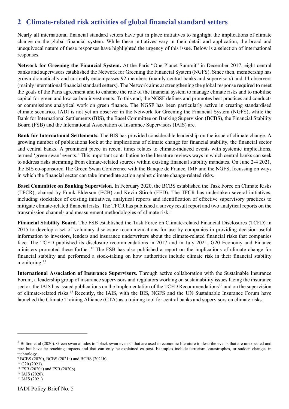### **2 Climate-related risk activities of global financial standard setters**

Nearly all international financial standard setters have put in place initiatives to highlight the implications of climate change on the global financial system. While these initiatives vary in their detail and application, the broad and unequivocal nature of these responses have highlighted the urgency of this issue. Below is a selection of international responses.

**Network for Greening the Financial System.** At the Paris "One Planet Summit" in December 2017, eight central banks and supervisors established the Network for Greening the Financial System (NGFS). Since then, membership has grown dramatically and currently encompasses 92 members (mainly central banks and supervisors) and 14 observers (mainly international financial standard setters). The Network aims at strengthening the global response required to meet the goals of the Paris agreement and to enhance the role of the financial system to manage climate risks and to mobilise capital for green and low-carbon investments. To this end, the NGSF defines and promotes best practices and conducts or commissions analytical work on green finance. The NGSF has been particularly active in creating standardised climate scenarios. IADI is not yet an observer in the Network for Greening the Financial System (NGFS), while the Bank for International Settlements (BIS), the Basel Committee on Banking Supervision (BCBS), the Financial Stability Board (FSB) and the International Association of Insurance Supervisors (IAIS) are.

**Bank for International Settlements.** The BIS has provided considerable leadership on the issue of climate change. A growing number of publications look at the implications of climate change for financial stability, the financial sector and central banks. A prominent piece in recent times relates to climate-induced events with systemic implications, termed 'green swan' events.[8](#page-4-0) This important contribution to the literature reviews ways in which central banks can seek to address risks stemming from climate-related sources within existing financial stability mandates. On June 2-4 2021, the BIS co-sponsored The Green Swan Conference with the Banque de France, IMF and the NGFS, focussing on ways in which the financial sector can take immediate action against climate change-related risks.

**Basel Committee on Banking Supervision.** In February 2020, the BCBS established the Task Force on Climate Risks (TFCR), chaired by Frank Elderson (ECB) and Kevin Stiroh (FED). The TFCR has undertaken several initiatives, including stocktakes of existing initiatives, analytical reports and identification of effective supervisory practices to mitigate climate-related financial risks. The TFCR has published a survey result report and two analytical reports on the transmission channels and measurement methodologies of climate risk.<sup>[9](#page-4-1)</sup>

**Financial Stability Board.** The FSB established the Task Force on Climate-related Financial Disclosures (TCFD) in 2015 to develop a set of voluntary disclosure recommendations for use by companies in providing decision-useful information to investors, lenders and insurance underwriters about the climate-related financial risks that companies face. The TCFD published its disclosure recommendations in 2017 and in July 2021, G20 Economy and Finance ministers promoted these further. [10](#page-4-2) The FSB has also published a report on the implications of climate change for financial stability and performed a stock-taking on how authorities include climate risk in their financial stability monitoring. [11](#page-4-3)

**International Association of Insurance Supervisors.** Through active collaboration with the Sustainable Insurance Forum, a leadership group of insurance supervisors and regulators working on sustainability issues facing the insurance sector, the IAIS has issued publications on the Implementation of the TCFD Recommendations<sup>[12](#page-4-4)</sup> and on the supervision of climate-related risks.[13](#page-4-5) Recently, the IAIS, with the BIS, NGFS and the UN Sustainable Insurance Forum have launched the Climate Training Alliance (CTA) as a training tool for central banks and supervisors on climate risks.

<span id="page-4-0"></span><sup>&</sup>lt;sup>8</sup> Bolton et al (2020). Green swan alludes to "black swan events" that are used in economic literature to describe events that are unexpected and rare but have far-reaching impacts and that can only be explained ex-post. Examples include terrorism, catastrophes, or sudden changes in technology.

<span id="page-4-1"></span><sup>&</sup>lt;sup>9</sup> BCBS (2020), BCBS (2021a) and BCBS (2021b).

<span id="page-4-2"></span> $10$  G20 (2021).

<span id="page-4-3"></span><sup>11</sup> FSB (2020a) and FSB (2020b).

<span id="page-4-4"></span><sup>12</sup> IAIS (2020).

<span id="page-4-5"></span><sup>13</sup> IAIS (2021).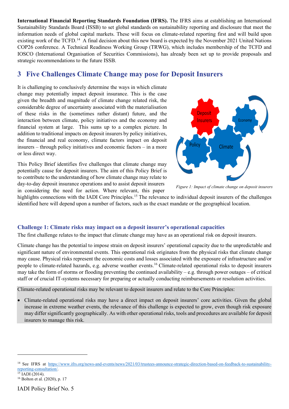**International Financial Reporting Standards Foundation (IFRS).** The IFRS aims at establishing an International Sustainability Standards Board (ISSB) to set global standards on sustainability reporting and disclosure that meet the information needs of global capital markets. These will focus on climate-related reporting first and will build upon existing work of the TCFD.<sup>[14](#page-5-0)</sup> A final decision about this new board is expected by the November 2021 United Nations COP26 conference. A Technical Readiness Working Group (TRWG), which includes membership of the TCFD and IOSCO (International Organisation of Securities Commissions), has already been set up to provide proposals and strategic recommendations to the future ISSB.

### **3 Five Challenges Climate Change may pose for Deposit Insurers**

It is challenging to conclusively determine the ways in which climate change may potentially impact deposit insurance. This is the case given the breadth and magnitude of climate change related risk, the considerable degree of uncertainty associated with the materialisation of these risks in the (sometimes rather distant) future, and the interaction between climate, policy initiatives and the economy and financial system at large. This sums up to a complex picture. In addition to traditional impacts on deposit insurers by policy initiatives, the financial and real economy, climate factors impact on deposit insurers – through policy initiatives and economic factors – in a more or less direct way.

This Policy Brief identifies five challenges that climate change may potentially cause for deposit insurers. The aim of this Policy Brief is to contribute to the understanding of how climate change may relate to day-to-day deposit insurance operations and to assist deposit insurers in considering the need for action. Where relevant, this paper



*Figure 1: Impact of climate change on deposit insurers*

highlights connections with the IADI Core Principles.<sup>[15](#page-5-1)</sup> The relevance to individual deposit insurers of the challenges identified here will depend upon a number of factors, such as the exact mandate or the geographical location.

### **Challenge 1: Climate risks may impact on a deposit insurer's operational capacities**

The first challenge relates to the impact that climate change may have as an operational risk on deposit insurers.

Climate change has the potential to impose strain on deposit insurers' operational capacity due to the unpredictable and significant nature of environmental events. This operational risk originates from the physical risks that climate change may cause. Physical risks represent the economic costs and losses associated with the exposure of infrastructure and/or people to climate-related hazards, e.g. adverse weather events.[16](#page-5-2) Climate-related operational risks to deposit insurers may take the form of storms or flooding preventing the continued availability – e.g. through power outages – of critical staff or of crucial IT-systems necessary for preparing or actually conducting reimbursements or resolution activities.

Climate-related operational risks may be relevant to deposit insurers and relate to the Core Principles:

• Climate-related operational risks may have a direct impact on deposit insurers' core activities. Given the global increase in extreme weather events, the relevance of this challenge is expected to grow, even though risk exposure may differ significantly geographically. As with other operational risks, tools and procedures are available for deposit insurers to manage this risk.

IADI Policy Brief No. 5

<span id="page-5-0"></span><sup>&</sup>lt;sup>14</sup> See IFRS at https://www.ifrs.org/news-and-events/news/2021/03/trustees-announce-strategic-direction-based-on-feedback-to-sustainabilityreporting-consultation/.  $15$  IADI (2014).

<span id="page-5-2"></span><span id="page-5-1"></span><sup>16</sup> Bolton et al. (2020), p. 17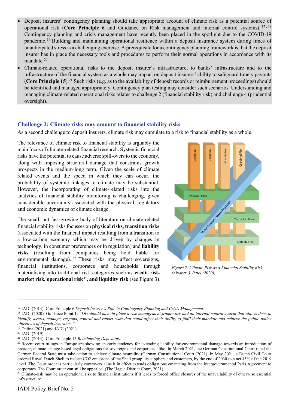- Deposit insurers' contingency planning should take appropriate account of climate risk as a potential source of operational risk (Core Principle 6 and Guidance on Risk management and internal control systems). <sup>[17](#page-6-0),18</sup> Contingency planning and crisis management have recently been placed in the spotlight due to the COVID-19 pandemic.[19](#page-6-2) Building and maintaining operational resilience within a deposit insurance system during times of unanticipated stress is a challenging exercise. A prerequisite for a contingency planning framework is that the deposit insurer has in place the necessary tools and procedures to perform their normal operations in accordance with its mandate.<sup>[20](#page-6-3)</sup>
- Climate-related operational risks to the deposit insurer's infrastructure, to banks' infrastructure and to the infrastructure of the financial system as a whole may impact on deposit insurers' ability to safeguard timely payouts **(Core Principle 15**).<sup>[21](#page-6-4)</sup> Such risks (e.g. as to the availability of deposit records or reimbursement proceedings) should be identified and managed appropriately. Contingency plan testing may consider such scenarios. Understanding and managing climate-related operational risks relates to challenge 2 (financial stability risk) and challenge 4 (prudential oversight).

### **Challenge 2: Climate risks may amount to financial stability risks**

As a second challenge to deposit insurers, climate risk may cumulate to a risk to financial stability as a whole.

The relevance of climate risk to financial stability is arguably the main focus of climate-related financial research. Systemic financial risks have the potential to cause adverse spill-overs to the economy, along with imposing structural damage that constrains growth prospects in the medium-long term. Given the scale of climate related events and the speed in which they can occur, the probability of systemic linkages to climate may be substantial. However, the incorporating of climate-related risks into the analytics of financial stability monitoring is challenging, given considerable uncertainty associated with the physical, regulatory and economic dynamics of climate change.

The small, but fast-growing body of literature on climate-related financial stability risks focusses on **physical risks**, **transition risks** (associated with the financial impact resulting from a transition to a low-carbon economy which may be driven by changes in technology, in consumer preferences or in regulation) and **liability risks** (resulting from companies being held liable for environmental damage). <sup>[22](#page-6-5)</sup> These risks may affect sovereigns, financial institutions, corporates and households through materialising into traditional risk categories such as **credit risk, market risk, operational risk[23](#page-6-6), and liquidity risk** (see Figure 3).



*Figure 2: Climate Risk as a Financial Stability Risk (Alvarez & Patel (2020))*

<span id="page-6-0"></span><sup>17</sup> IADI (2014): Core Principle 6 *Deposit Insurer's Role in Contingency Planning and Crisis Management.*

<span id="page-6-1"></span><sup>18</sup> IADI (2020), Guidance Point 1: *"DIs should have in place a risk management framework and an internal control system that allows them to identify, assess, manage, respond, control and report risks that could affect their ability to fulfil their mandate and achieve the public policy objectives of deposit insurance."*

<span id="page-6-2"></span><sup>19</sup> Defina (2021) and IADI (2021).

<span id="page-6-3"></span><sup>20</sup> IADI (2019).

<span id="page-6-4"></span><sup>21</sup> IADI (2014): Core Principle 15 *Reimbursing Depositors.*

<span id="page-6-5"></span><sup>&</sup>lt;sup>22</sup> Recent court rulings in Europe are showing an early tendency for extending liability for environmental damage towards an introduction of broader, climate-change based legal obligations for sovereigns and corporates alike. In March 2021, the German Constitutional Court ruled the German Federal State must take action to achieve climate neutrality (German Constitutional Court (2021). In May 2021, a Dutch Civil Court ordered Royal Dutch Shell to reduce CO2 emissions of the Shell group, its suppliers and customers, by the end of 2030 to a net 45% of the 2019 level. The Court order is particularly controversial as it in effect extends obligations emanating from the intergovernmental Paris Agreement to corporates. The Court order can still be appealed. (The Hague District Court, 2021).

<span id="page-6-6"></span><sup>&</sup>lt;sup>23</sup> Climate-risk may be an operational risk to financial institutions if it leads to forced office closures of the unavailability of otherwise essential infrastructure.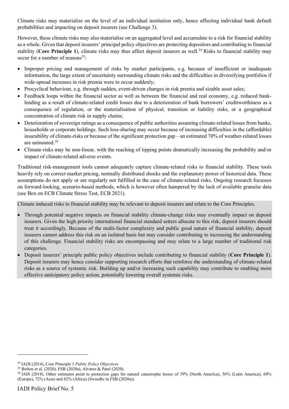Climate risks may materialise on the level of an individual institution only, hence affecting individual bank default probabilities and impacting on deposit insurers (see Challenge 3).

However, these climate risks may also materialise on an aggregated level and accumulate to a risk for financial stability as a whole. Given that deposit insurers' principal policy objectives are protecting depositors and contributing to financial stability (Core Principle 1), climate risks may thus affect deposit insurers as well.<sup>[24](#page-7-0)</sup> Risks to financial stability may occur for a number of reasons<sup>[25](#page-7-1)</sup>:

- Improper pricing and management of risks by market participants, e.g. because of insufficient or inadequate information, the large extent of uncertainty surrounding climate risks and the difficulties in diversifying portfolios if wide-spread increases in risk premia were to occur suddenly;
- Procyclical behaviour, e.g. through sudden, event-driven changes in risk premia and sizable asset sales;
- Feedback loops within the financial sector as well as between the financial and real economy, e.g. reduced banklending as a result of climate-related credit losses due to a deterioration of bank borrowers' creditworthiness as a consequence of regulation, or the materialisation of physical, transition or liability risks, or a geographical concentration of climate risk in supply chains;
- Deterioration of sovereign ratings as a consequence of public authorities assuming climate-related losses from banks, households or corporate holdings. Such loss-sharing may occur because of increasing difficulties in the (affordable) insurability of climate-risks or because of the significant protection gap – an estimated 70% of weather-related losses are uninsured.<sup>[26](#page-7-2)</sup>
- Climate-risks may be non-linear, with the reaching of tipping points dramatically increasing the probability and/or impact of climate-related adverse events.

Traditional risk-management tools cannot adequately capture climate-related risks to financial stability. These tools heavily rely on correct market pricing, normally distributed shocks and the explanatory power of historical data. These assumptions do not apply or are regularly not fulfilled in the case of climate-related risks. Ongoing research focusses on forward-looking, scenario-based methods, which is however often hampered by the lack of available granular data (see Box on ECB Climate Stress Test, ECB 2021).

Climate induced risks to financial stability may be relevant to deposit insurers and relate to the Core Principles.

- Through potential negative impacts on financial stability climate-change risks may eventually impact on deposit insurers. Given the high priority international financial standard setters allocate to this risk, deposit insurers should treat it accordingly. Because of the multi-factor complexity and public good nature of financial stability, deposit insurers cannot address this risk on an isolated basis but may consider contributing to increasing the understanding of this challenge. Financial stability risks are encompassing and may relate to a large number of traditional risk categories.
- Deposit insurers' principle public policy objectives include contributing to financial stability (**Core Principle 1**). Deposit insurers may hence consider supporting research efforts that reinforce the understanding of climate-related risks as a source of systemic risk. Building up and/or increasing such capability may contribute to enabling more effective anticipatory policy action, potentially lowering overall systemic risks.

<span id="page-7-0"></span><sup>24</sup> IADI (2014), Core Principle 1 *Public Policy Objectives*

<span id="page-7-1"></span><sup>25</sup> Bolton et al. (2020), FSB (2020a), Alvarez & Patel (2020).

<span id="page-7-2"></span><sup>&</sup>lt;sup>26</sup> IAIS (2018). Other estimates point to protection gaps for natural catastrophe losses of 39% (North America), 56% (Latin America), 60% (Europe), 72% (Asia) and 82% (Africa) (SwissRe in FSB (2020a)).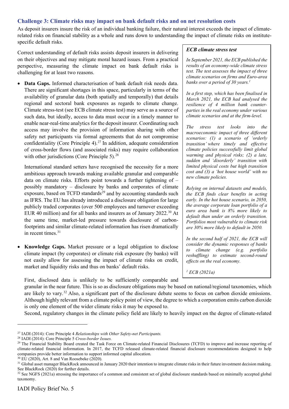### **Challenge 3: Climate risks may impact on bank default risks and on net resolution costs**

As deposit insurers insure the risk of an individual banking failure, their natural interest exceeds the impact of climaterelated risks on financial stability as a whole and runs down to understanding the impact of climate risks on institutespecific default risks.

Correct understanding of default risks assists deposit insurers in delivering on their objectives and may mitigate moral hazard issues. From a practical perspective, measuring the climate impact on bank default risks is challenging for at least two reasons.

• **Data Gaps.** Informed characterisation of bank default risk needs data. There are significant shortages in this space, particularly in terms of the availability of granular data (both spatially and temporally) that details regional and sectoral bank exposures as regards to climate change. Climate stress-test (see ECB climate stress test) may serve as a source of such data, but ideally, access to data must occur in a timely manner to enable near-real-time analytics for the deposit insurer. Coordinating such access may involve the provision of information sharing with other safety net participants via formal agreements that do not compromise confidentiality (Core Principle 4).<sup>[27](#page-8-0)</sup> In addition, adequate consideration of cross-border flows (and associated risks) may require collaboration with other jurisdictions (Core Principle 5).<sup>[28](#page-8-1)</sup>

International standard setters have recognised the necessity for a more ambitious approach towards making available granular and comparable data on climate risks. Efforts point towards a further tightening of – possibly mandatory – disclosure by banks and corporates of climate exposure, based on TCFD standards<sup>[29](#page-8-2)</sup> and by accounting standards such as IFRS. The EU has already introduced a disclosure obligation for large publicly traded corporates (over 500 employees and turnover exceeding EUR 40 million) and for all banks and insurers as of January 2022. [30](#page-8-3) At the same time, market-led pressure towards disclosure of carbonfootprints and similar climate-related information has risen dramatically in recent times.<sup>[31](#page-8-4)</sup>

• **Knowledge Gaps.** Market pressure or a legal obligation to disclose climate impact (by corporates) or climate risk exposure (by banks) will not easily allow for assessing the impact of climate risks on credit, market and liquidity risks and thus on banks' default risks.

First, disclosed data is unlikely to be sufficiently comparable and

granular in the near future. This is so as disclosure obligations may be based on national/regional taxonomies, which are likely to vary.[32](#page-8-5) Also, a significant part of the disclosure debate seems to focus on carbon dioxide emissions. Although highly relevant from a climate policy point of view, the degree to which a corporation emits carbon dioxide is only one element of the wider climate risks it may be exposed to.

Second, regulatory changes in the climate policy field are likely to heavily impact on the degree of climate-related

### *ECB climate stress test*

*In September 2021, the ECB published the results of an economy-wide climate stress test. The test assesses the impact of three climate scenarios on firms and Euro-area banks over a period of 30 years.<sup>1</sup>*

*In a first step, which has been finalised in March 2021, the ECB had analysed the resilience of 4 million bank counterparties in the real economy under various climate scenarios and at the firm-level.*

*The stress test looks into the macroeconomic impact of three different scenarios: (1) a scenario of 'orderly transition' where timely and effective climate policies successfully limit global warming and physical risks; (2) a late, sudden and 'disorderly' transition with limited physical costs but high transition cost and (3) a 'hot house world' with no new climate policies.*

*Relying on internal datasets and models, the ECB finds clear benefits in acting early. In the hot house scenario, in 2050, the average corporate loan portfolio of a euro area bank is 8% more likely to default than under an orderly transition. Portfolios most vulnerable to climate risk are 30% more likely to default in 2050.* 

*In the second half of 2021, the ECB will consider the dynamic responses of banks to climate change (e.g. portfolio reshuffling) to estimate second-round effects on the real economy.*

*<sup>1</sup> ECB (2021a)*

<span id="page-8-0"></span><sup>27</sup> IADI (2014): Core Principle 4 *Relationships with Other Safety-net Participants.*

<span id="page-8-1"></span><sup>28</sup> IADI (2014): Core Principle 5 *Cross-border Issues.*

<span id="page-8-2"></span><sup>&</sup>lt;sup>29</sup> The Financial Stability Board created the Task Force on Climate-related Financial Disclosures (TCFD) to improve and increase reporting of climate-related financial information. In 2017, the TCFD released climate-related financial disclosure recommendations designed to help companies provide better information to support informed capital allocation.

<span id="page-8-3"></span><sup>30</sup> EU (2020), Art. 8 and Van Roosebeke (2020).

<span id="page-8-4"></span><sup>&</sup>lt;sup>31</sup> Global asset manager BlackRock announced in January 2020 their intention to integrate climate risks in their future investment decision making. See BlackRock (2020) for further details.

<span id="page-8-5"></span><sup>&</sup>lt;sup>32</sup> See NGFS (2021a) stressing the importance of a common and consistent set of global disclosure standards based on minimally accepted global taxonomy.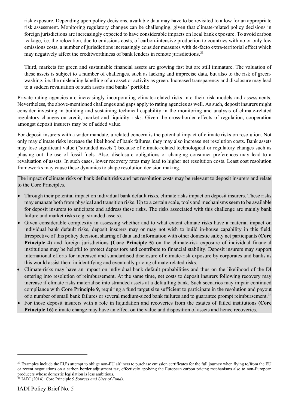risk exposure. Depending upon policy decisions, available data may have to be revisited to allow for an appropriate risk assessment. Monitoring regulatory changes can be challenging, given that climate-related policy decisions in foreign jurisdictions are increasingly expected to have considerable impacts on local bank exposure. To avoid carbon leakage, i.e. the relocation, due to emissions costs, of carbon-intensive production to countries with no or only low emissions costs, a number of jurisdictions increasingly consider measures with de-facto extra-territorial effect which may negatively affect the creditworthiness of bank lenders in remote jurisdictions.<sup>[33](#page-9-0)</sup>

Third, markets for green and sustainable financial assets are growing fast but are still immature. The valuation of these assets is subject to a number of challenges, such as lacking and imprecise data, but also to the risk of greenwashing, i.e. the misleading labelling of an asset or activity as green. Increased transparency and disclosure may lead to a sudden revaluation of such assets and banks' portfolio.

Private rating agencies are increasingly incorporating climate-related risks into their risk models and assessments. Nevertheless, the above-mentioned challenges and gaps apply to rating agencies as well. As such, deposit insurers might consider investing in building and sustaining technical capability in the monitoring and analysis of climate-related regulatory changes on credit, market and liquidity risks. Given the cross-border effects of regulation, cooperation amongst deposit insurers may be of added value.

For deposit insurers with a wider mandate, a related concern is the potential impact of climate risks on resolution. Not only may climate risks increase the likelihood of bank failures, they may also increase net resolution costs. Bank assets may lose significant value ("stranded assets") because of climate-related technological or regulatory changes such as phasing out the use of fossil fuels. Also, disclosure obligations or changing consumer preferences may lead to a revaluation of assets. In such cases, lower recovery rates may lead to higher net resolution costs. Least cost resolution frameworks may cause these dynamics to shape resolution decision making.

The impact of climate risks on bank default risks and net resolution costs may be relevant to deposit insurers and relate to the Core Principles.

- Through their potential impact on individual bank default risks, climate risks impact on deposit insurers. These risks may emanate both from physical and transition risks. Up to a certain scale, tools and mechanisms seem to be available for deposit insurers to anticipate and address these risks. The risks associated with this challenge are mainly bank failure and market risks (e.g. stranded assets).
- Given considerable complexity in assessing whether and to what extent climate risks have a material impact on individual bank default risks, deposit insurers may or may not wish to build in-house capability in this field. Irrespective of this policy decision, sharing of data and information with other domestic safety net participants **(Core Principle 4)** and foreign jurisdictions **(Core Principle 5)** on the climate-risk exposure of individual financial institutions may be helpful to protect depositors and contribute to financial stability. Deposit insurers may support international efforts for increased and standardised disclosure of climate-risk exposure by corporates and banks as this would assist them in identifying and eventually pricing climate-related risks.
- Climate-risks may have an impact on individual bank default probabilities and thus on the likelihood of the DI entering into resolution of reimbursement. At the same time, net costs to deposit insurers following recovery may increase if climate risks materialise into stranded assets at a defaulting bank. Such scenarios may impair continued compliance with **Core Principle 9**, requiring a fund target size sufficient to participate in the resolution and payout of a number of small bank failures or several medium-sized bank failures and to guarantee prompt reimbursement.<sup>[34](#page-9-1)</sup>
- For those deposit insurers with a role in liquidation and recoveries from the estates of failed institutions **(Core Principle 16)** climate change may have an effect on the value and disposition of assets and hence recoveries.

<span id="page-9-0"></span><sup>&</sup>lt;sup>33</sup> Examples include the EU's attempt to oblige non-EU airliners to purchase emission certificates for the full journey when flying to/from the EU or recent negotiations on a carbon border adjustment tax, effectively applying the European carbon pricing mechanisms also to non-European producers whose domestic legislation is less ambitious.

<span id="page-9-1"></span><sup>34</sup> IADI (2014): Core Principle 9 *Sources and Uses of Funds.*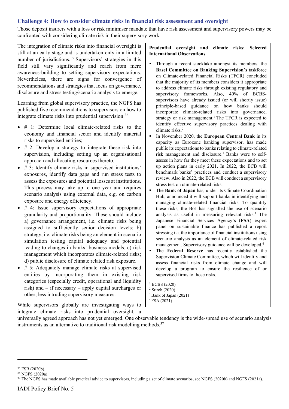### **Challenge 4: How to consider climate risks in financial risk assessment and oversight**

Those deposit insurers with a loss or risk minimiser mandate that have risk assessment and supervisory powers may be confronted with considering climate risk in their supervisory work.

The integration of climate risks into financial oversight is still at an early stage and is undertaken only in a limited number of jurisdictions.<sup>[35](#page-10-0)</sup> Supervisors' strategies in this field still vary significantly and reach from mere awareness-building to setting supervisory expectations. Nevertheless, there are signs for convergence of recommendations and strategies that focus on governance, disclosure and stress testing/scenario analysis to emerge.

Learning from global supervisory practice, the NGFS has published five recommendations to supervisors on how to integrate climate risks into prudential supervision:<sup>[36](#page-10-1)</sup>

- # 1: Determine local climate-related risks to the economy and financial sector and identify material risks to supervised entities;
- $\bullet$  # 2: Develop a strategy to integrate these risk into supervision, including setting up an organisational approach and allocating resources thereto;
- # 3: Identify climate risks in supervised institutions' exposures, identify data gaps and run stress tests to assess the exposures and potential losses at institutions. This process may take up to one year and requires scenario analysis using external data, e.g. on carbon exposure and energy efficiency.
- # 4: Issue supervisory expectations of appropriate granularity and proportionality. These should include a) governance arrangement, i.e. climate risks being assigned to sufficiently senior decision levels; b) strategy, i.e. climate risks being an element in scenario simulation testing capital adequacy and potential leading to changes in banks' business models; c) risk management which incorporates climate-related risks; d) public disclosure of climate related risk exposure.
- # 5: Adequately manage climate risks at supervised entities by incorporating them in existing risk categories (especially credit, operational and liquidity risk) and – if necessary – apply capital surcharges or other, less intruding supervisory measures.

While supervisors globally are investigating ways to integrate climate risks into prudential oversight, a **Prudential oversight and climate risks: Selected International Observations**

- Through a recent stocktake amongst its members, the **Basel Committee on Banking Supervision**'s taskforce on Climate-related Financial Risks (TFCR) concluded that the majority of its members considers it appropriate to address climate risks through existing regulatory and supervisory frameworks. Also, 40% of BCBSsupervisors have already issued (or will shortly issue) principle-based guidance on how banks should incorporate climate-related risks into governance, strategy or risk management.<sup>1</sup> The TFCR is expected to identify effective supervisory practices dealing with climate risks.<sup>2</sup>
- In November 2020, the **European Central Bank** in its capacity as Eurozone banking supervisor, has made public its expectations to banks relating to climate-related risk management and disclosure.<sup>1</sup> Banks were to selfassess in how far they meet these expectations and to set up action plans in early 2021. In 2022, the ECB will benchmark banks' practices and conduct a supervisory review. Also in 2022, the ECB will conduct a supervisory stress test on climate-related risks.
- The **Bank of Japan** has, under its Climate Coordination Hub, announced it will support banks in identifying and managing climate-related financial risks. To quantify these risks, the BoJ has signalled the use of scenario analysis as useful in measuring relevant risks.<sup>3</sup> The Japanese Financial Services Agency's (**FSA**) expert panel on sustainable finance has published a report stressing i.a. the importance of financial institutions using scenario analysis as an element of climate-related risk management. Supervisory guidance will be developed.<sup>4</sup>
- The **Federal Reserve** has recently established the Supervision Climate Committee, which will identify and assess financial risks from climate change and will develop a program to ensure the resilience of or supervised firms to those risks.

<sup>1</sup> BCBS (2020) <sup>2</sup> Stiroh (2020) <sup>3</sup> Bank of Japan (2021) 4 FSA (2021)

universally agreed approach has not yet emerged. One observable tendency is the wide-spread use of scenario analysis instruments as an alternative to traditional risk modelling methods. $37$ 

<span id="page-10-0"></span><sup>35</sup> FSB (2020b).

<span id="page-10-1"></span><sup>36</sup> NGFS (2020a).

<span id="page-10-2"></span><sup>&</sup>lt;sup>37</sup> The NGFS has made available practical advice to supervisors, including a set of climate scenarios, see NGFS (2020b) and NGFS (2021a).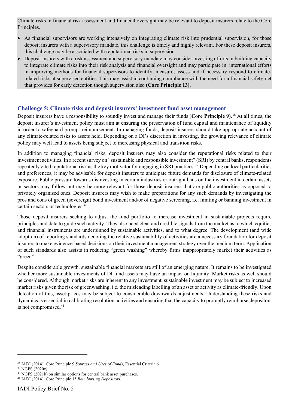Climate risks in financial risk assessment and financial oversight may be relevant to deposit insurers relate to the Core Principles.

- As financial supervisors are working intensively on integrating climate risk into prudential supervision, for those deposit insurers with a supervisory mandate, this challenge is timely and highly relevant. For these deposit insurers, this challenge may be associated with reputational risks in supervision.
- Deposit insurers with a risk assessment and supervisory mandate may consider investing efforts in building capacity to integrate climate risks into their risk analysis and financial oversight and may participate in international efforts in improving methods for financial supervisors to identify, measure, assess and if necessary respond to climaterelated risks at supervised entities. This may assist in continuing compliance with the need for a financial safety-net that provides for early detection though supervision also **(Core Principle 13)**.

### **Challenge 5: Climate risks and deposit insurers' investment fund asset management**

Deposit insurers have a responsibility to soundly invest and manage their funds (Core Principle 9).<sup>[38](#page-11-0)</sup> At all times, the deposit insurer's investment policy must aim at ensuring the preservation of fund capital and maintenance of liquidity in order to safeguard prompt reimbursement. In managing funds, deposit insurers should take appropriate account of any climate-related risks to assets held. Depending on a DI's discretion in investing, the growing relevance of climate policy may well lead to assets being subject to increasing physical and transition risks.

In addition to managing financial risks, deposit insurers may also consider the reputational risks related to their investment activities. In a recent survey on "sustainable and responsible investment" (SRI) by central banks, respondents repeatedly cited reputational risk as the key motivator for engaging in SRI practices.[39](#page-11-1) Depending on local particularities and preferences, it may be advisable for deposit insurers to anticipate future demands for disclosure of climate-related exposure. Public pressure towards disinvesting in certain industries or outright bans on the investment in certain assets or sectors may follow but may be more relevant for those deposit insurers that are public authorities as opposed to privately organised ones. Deposit insurers may wish to make preparations for any such demands by investigating the pros and cons of green (sovereign) bond investment and/or of negative screening, i.e. limiting or banning investment in certain sectors or technologies.<sup>[40](#page-11-2)</sup>

Those deposit insurers seeking to adjust the fund portfolio to increase investment in sustainable projects require principles and data to guide such activity. They also need clear and credible signals from the market as to which equities and financial instruments are underpinned by sustainable activities, and to what degree. The development (and wide adoption) of reporting standards denoting the relative sustainability of activities are a necessary foundation for deposit insurers to make evidence-based decisions on their investment management strategy over the medium term. Application of such standards also assists in reducing "green washing" whereby firms inappropriately market their activities as "green".

Despite considerable growth, sustainable financial markets are still of an emerging nature. It remains to be investigated whether more sustainable investments of DI fund assets may have an impact on liquidity. Market risks as well should be considered. Although market risks are inherent to any investment, sustainable investment may be subject to increased market risks given the risk of greenwashing, i.e. the misleading labelling of an asset or activity as climate-friendly. Upon detection of this, asset prices may be subject to considerable downwards adjustments. Understanding these risks and dynamics is essential in calibrating resolution activities and ensuring that the capacity to promptly reimburse depositors is not compromised. [41](#page-11-3)

<span id="page-11-0"></span><sup>38</sup> IADI (2014): Core Principle 9 *Sources and Uses of Funds,* Essential Criteria 6.

<span id="page-11-1"></span><sup>39</sup> NGFS (2020c).

<span id="page-11-2"></span><sup>40</sup> NGFS (2021b) on similar options for central bank asset purchases.

<span id="page-11-3"></span><sup>41</sup> IADI (2014): Core Principle 15 *Reimbursing Depositors.*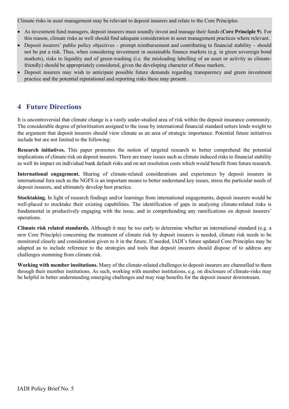Climate risks in asset management may be relevant to deposit insurers and relate to the Core Principles.

- As investment fund managers, deposit insurers must soundly invest and manage their funds (**Core Principle 9**). For this reason, climate risks as well should find adequate consideration in asset management practices where relevant.
- Deposit insurers' public policy objectives prompt reimbursement and contributing to financial stability should not be put a risk. Thus, when considering investment in sustainable finance markets (e.g. in green sovereign bond markets), risks to liquidity and of green-washing (i.e. the misleading labelling of an asset or activity as climatefriendly) should be appropriately considered, given the developing character of these markets.
- Deposit insurers may wish to anticipate possible future demands regarding transparency and green investment practice and the potential reputational and reporting risks these may present.

### **4 Future Directions**

It is uncontroversial that climate change is a vastly under-studied area of risk within the deposit insurance community. The considerable degree of prioritisation assigned to the issue by international financial standard setters lends weight to the argument that deposit insurers should view climate as an area of strategic importance. Potential future initiatives include but are not limited to the following:

**Research initiatives.** This paper promotes the notion of targeted research to better comprehend the potential implications of climate risk on deposit insurers. There are many issues such as climate induced risks to financial stability as well its impact on individual bank default risks and on net resolution costs which would benefit from future research.

**International engagement.** Sharing of climate-related considerations and experiences by deposit insurers in international fora such as the NGFS is an important means to better understand key issues, stress the particular needs of deposit insurers, and ultimately develop best practice.

**Stocktaking.** In light of research findings and/or learnings from international engagements, deposit insurers would be well-placed to stocktake their existing capabilities. The identification of gaps in analysing climate-related risks is fundamental in productively engaging with the issue, and in comprehending any ramifications on deposit insurers' operations.

**Climate risk related standards.** Although it may be too early to determine whether an international standard (e.g. a new Core Principle) concerning the treatment of climate risk by deposit insurers is needed, climate risk needs to be monitored closely and consideration given to it in the future. If needed, IADI's future updated Core Principles may be adapted as to include reference to the strategies and tools that deposit insurers should dispose of to address any challenges stemming from climate risk.

**Working with member institutions.** Many of the climate-related challenges to deposit insurers are channelled to them through their member institutions. As such, working with member institutions, e.g. on disclosure of climate-risks may be helpful in better understanding emerging challenges and may reap benefits for the deposit insurer downstream.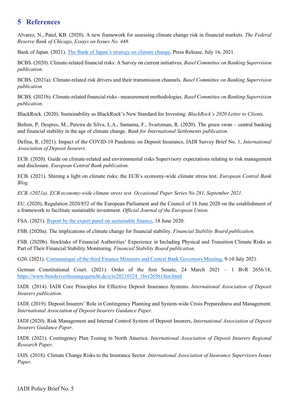### **5 References**

Alvarez, N., Patel, KB. (2020). A new framework for assessing climate change risk in financial markets. *The Federal Reserve Bank of Chicago, Essays on Issues No. 448.*

Bank of Japan. (2021). The Bank of Japan's strategy on climate change, Press Release, July 16, 2021.

BCBS. (2020). Climate-related financial risks: A Survey on current initiatives. *Basel Committee on Banking Supervision publication.* 

BCBS. (2021a). Climate-related risk drivers and their transmission channels. *Basel Committee on Banking Supervision publication.* 

BCBS. (2021b). Climate-related financial risks - measurement methodologies. *Basel Committee on Banking Supervision publication.* 

BlackRock. (2020). Sustainability as BlackRock's New Standard for Investing. *BlackRock's 2020 Letter to Clients.*

Bolton, P, Despres, M., Pereira de Silva, L.A., Samama, F., Svartzman, R. (2020). The green swan – central banking and financial stability in the age of climate change. *Bank for International Settlements publication.* 

Defina, R. (2021). Impact of the COVID-19 Pandemic on Deposit Insurance, IADI Survey Brief No. 1, *International Association of Deposit Insurers.*

ECB. (2020). Guide on climate-related and environmental risks Supervisory expectations relating to risk management and disclosure. *European Central Bank publication.*

ECB. (2021). Shining a light on climate risks: the ECB's economy-wide climate stress test. *European Central Bank Blog.* 

*ECB. (2021a). ECB economy-wide climate stress test. Occasional Paper Series No 281, September 2021.*

EU. (2020), Regulation 2020/852 of the European Parliament and the Council of 18 June 2020 on the establishment of a framework to facilitate sustainable investment. *Official Journal of the European Union.*

FSA. (2021). Report by the expert panel on sustainable finance, 18 June 2020.

FSB. (2020a). The implications of climate change for financial stability. *Financial Stability Board publication.*

FSB. (2020b). Stocktake of Financial Authorities' Experience in Including Physical and Transition Climate Risks as Part of Their Financial Stability Monitoring. *Financial Stability Board publication.*

G20. (2021). Communiqué of the third Finance Ministers and Central Bank Governors Meeting, 9-10 July 2021.

German Constitutional Court. (2021). Order of the first Senate, 24 March 2021 – 1 BvR 2656/18, https://www.bundesverfassungsgericht.de/e/rs20210324\_1bvr265618en.html

IADI. (2014). IADI Core Principles for Effective Deposit Insurance Systems. *International Association of Deposit Insurers publication.*

IADI. (2019). Deposit Insurers' Role in Contingency Planning and System-wide Crisis Preparedness and Management. *International Association of Deposit Insurers Guidance Paper.*

IADI (2020). Risk Management and Internal Control System of Deposit Insurers, *International Association of Deposit Insurers Guidance Paper.*

IADI. (2021). Contingency Plan Testing in North America. *International Association of Deposit Insurers Regional Research Paper.*

IAIS. (2018). Climate Change Risks to the Insurance Sector. *International Association of Insurance Supervisors Issues Paper.*